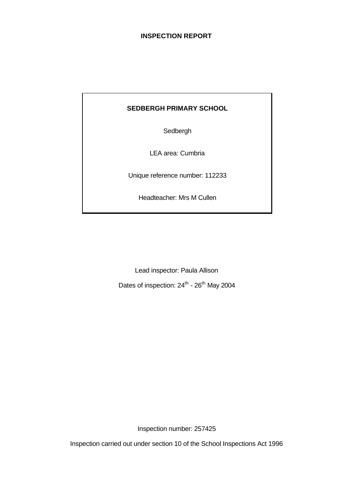# **INSPECTION REPORT**

# **SEDBERGH PRIMARY SCHOOL**

Sedbergh

LEA area: Cumbria

Unique reference number: 112233

Headteacher: Mrs M Cullen

Lead inspector: Paula Allison

Dates of inspection: 24<sup>th</sup> - 26<sup>th</sup> May 2004

Inspection number: 257425

Inspection carried out under section 10 of the School Inspections Act 1996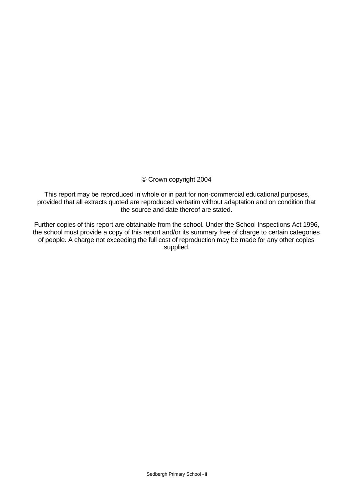# © Crown copyright 2004

This report may be reproduced in whole or in part for non-commercial educational purposes, provided that all extracts quoted are reproduced verbatim without adaptation and on condition that the source and date thereof are stated.

Further copies of this report are obtainable from the school. Under the School Inspections Act 1996, the school must provide a copy of this report and/or its summary free of charge to certain categories of people. A charge not exceeding the full cost of reproduction may be made for any other copies supplied.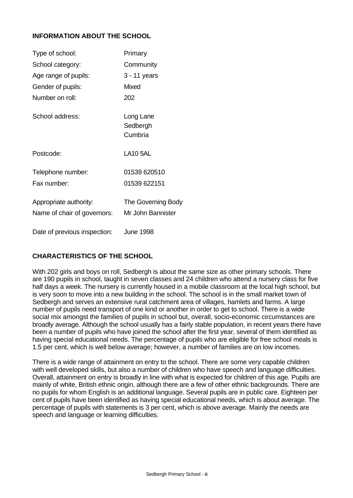# **INFORMATION ABOUT THE SCHOOL**

| Type of school:                                       | Primary                                 |
|-------------------------------------------------------|-----------------------------------------|
| School category:                                      | Community                               |
| Age range of pupils:                                  | 3 - 11 years                            |
| Gender of pupils:                                     | Mixed                                   |
| Number on roll:                                       | 202                                     |
| School address:                                       | Long Lane<br>Sedbergh<br>Cumbria        |
| Postcode:                                             | <b>LA10 5AL</b>                         |
| Telephone number:                                     | 01539 620510                            |
| Fax number:                                           | 01539 622151                            |
| Appropriate authority:<br>Name of chair of governors: | The Governing Body<br>Mr John Bannister |
| Date of previous inspection:                          | <b>June 1998</b>                        |

# **CHARACTERISTICS OF THE SCHOOL**

With 202 girls and boys on roll, Sedbergh is about the same size as other primary schools. There are 190 pupils in school, taught in seven classes and 24 children who attend a nursery class for five half days a week. The nursery is currently housed in a mobile classroom at the local high school, but is very soon to move into a new building in the school. The school is in the small market town of Sedbergh and serves an extensive rural catchment area of villages, hamlets and farms. A large number of pupils need transport of one kind or another in order to get to school. There is a wide social mix amongst the families of pupils in school but, overall, socio-economic circumstances are broadly average. Although the school usually has a fairly stable population, in recent years there have been a number of pupils who have joined the school after the first year, several of them identified as having special educational needs. The percentage of pupils who are eligible for free school meals is 1.5 per cent, which is well below average; however, a number of families are on low incomes.

There is a wide range of attainment on entry to the school. There are some very capable children with well developed skills, but also a number of children who have speech and language difficulties. Overall, attainment on entry is broadly in line with what is expected for children of this age. Pupils are mainly of white, British ethnic origin, although there are a few of other ethnic backgrounds. There are no pupils for whom English is an additional language. Several pupils are in public care. Eighteen per cent of pupils have been identified as having special educational needs, which is about average. The percentage of pupils with statements is 3 per cent, which is above average. Mainly the needs are speech and language or learning difficulties.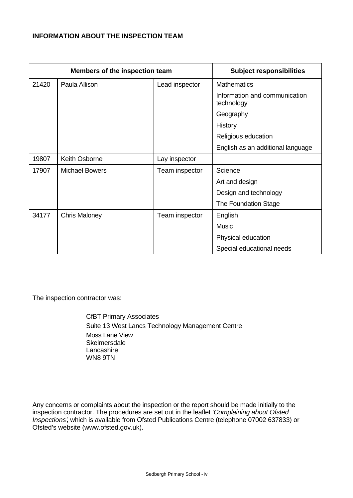# **INFORMATION ABOUT THE INSPECTION TEAM**

|       | Members of the inspection team | <b>Subject responsibilities</b> |                                             |
|-------|--------------------------------|---------------------------------|---------------------------------------------|
| 21420 | Paula Allison                  | Lead inspector                  | <b>Mathematics</b>                          |
|       |                                |                                 | Information and communication<br>technology |
|       |                                |                                 | Geography                                   |
|       |                                |                                 | History                                     |
|       |                                |                                 | Religious education                         |
|       |                                |                                 | English as an additional language           |
| 19807 | Keith Osborne                  | Lay inspector                   |                                             |
| 17907 | <b>Michael Bowers</b>          | Team inspector                  | Science                                     |
|       |                                |                                 | Art and design                              |
|       |                                |                                 | Design and technology                       |
|       |                                |                                 | The Foundation Stage                        |
| 34177 | <b>Chris Maloney</b>           | Team inspector                  | English                                     |
|       |                                |                                 | <b>Music</b>                                |
|       |                                |                                 | Physical education                          |
|       |                                |                                 | Special educational needs                   |

The inspection contractor was:

CfBT Primary Associates Suite 13 West Lancs Technology Management Centre Moss Lane View **Skelmersdale Lancashire** WN8 9TN

Any concerns or complaints about the inspection or the report should be made initially to the inspection contractor. The procedures are set out in the leaflet *'Complaining about Ofsted Inspections'*, which is available from Ofsted Publications Centre (telephone 07002 637833) or Ofsted's website (www.ofsted.gov.uk).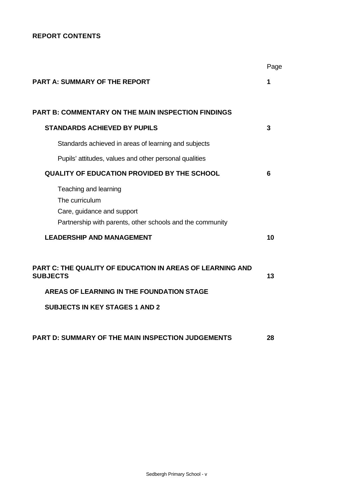# **REPORT CONTENTS**

|                                                                                                                                    | Page |
|------------------------------------------------------------------------------------------------------------------------------------|------|
| <b>PART A: SUMMARY OF THE REPORT</b>                                                                                               | 1    |
| <b>PART B: COMMENTARY ON THE MAIN INSPECTION FINDINGS</b>                                                                          |      |
| <b>STANDARDS ACHIEVED BY PUPILS</b>                                                                                                | 3    |
| Standards achieved in areas of learning and subjects                                                                               |      |
| Pupils' attitudes, values and other personal qualities                                                                             |      |
| <b>QUALITY OF EDUCATION PROVIDED BY THE SCHOOL</b>                                                                                 | 6    |
| Teaching and learning<br>The curriculum<br>Care, guidance and support<br>Partnership with parents, other schools and the community |      |
| <b>LEADERSHIP AND MANAGEMENT</b>                                                                                                   | 10   |
| <b>PART C: THE QUALITY OF EDUCATION IN AREAS OF LEARNING AND</b><br><b>SUBJECTS</b>                                                | 13   |
| AREAS OF LEARNING IN THE FOUNDATION STAGE                                                                                          |      |
| <b>SUBJECTS IN KEY STAGES 1 AND 2</b>                                                                                              |      |
| <b>PART D: SUMMARY OF THE MAIN INSPECTION JUDGEMENTS</b>                                                                           | 28   |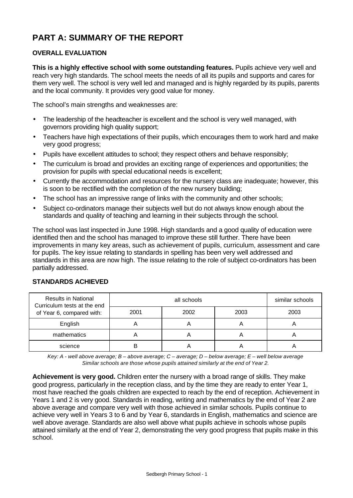# **PART A: SUMMARY OF THE REPORT**

# **OVERALL EVALUATION**

**This is a highly effective school with some outstanding features.** Pupils achieve very well and reach very high standards. The school meets the needs of all its pupils and supports and cares for them very well. The school is very well led and managed and is highly regarded by its pupils, parents and the local community. It provides very good value for money.

The school's main strengths and weaknesses are:

- The leadership of the headteacher is excellent and the school is very well managed, with governors providing high quality support;
- Teachers have high expectations of their pupils, which encourages them to work hard and make very good progress;
- Pupils have excellent attitudes to school; they respect others and behave responsibly;
- The curriculum is broad and provides an exciting range of experiences and opportunities; the provision for pupils with special educational needs is excellent;
- Currently the accommodation and resources for the nursery class are inadequate; however, this is soon to be rectified with the completion of the new nursery building;
- The school has an impressive range of links with the community and other schools;
- Subject co-ordinators manage their subjects well but do not always know enough about the standards and quality of teaching and learning in their subjects through the school.

The school was last inspected in June 1998. High standards and a good quality of education were identified then and the school has managed to improve these still further. There have been improvements in many key areas, such as achievement of pupils, curriculum, assessment and care for pupils. The key issue relating to standards in spelling has been very well addressed and standards in this area are now high. The issue relating to the role of subject co-ordinators has been partially addressed.

# Results in National all schools all schools and similar schools in National all schools in the similar schools Curriculum tests at the end of Year 6, compared with: 2001 2002 2003 2003 English | A | A | A | A mathematics  $A$  A  $A$  A A A science | B | A | A | A

# **STANDARDS ACHIEVED**

*Key: A - well above average; B – above average; C – average; D – below average; E – well below average Similar schools are those whose pupils attained similarly at the end of Year 2.*

**Achievement is very good.** Children enter the nursery with a broad range of skills. They make good progress, particularly in the reception class, and by the time they are ready to enter Year 1, most have reached the goals children are expected to reach by the end of reception. Achievement in Years 1 and 2 is very good. Standards in reading, writing and mathematics by the end of Year 2 are above average and compare very well with those achieved in similar schools. Pupils continue to achieve very well in Years 3 to 6 and by Year 6, standards in English, mathematics and science are well above average. Standards are also well above what pupils achieve in schools whose pupils attained similarly at the end of Year 2, demonstrating the very good progress that pupils make in this school.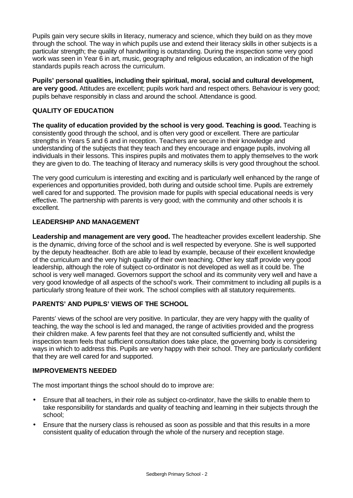Pupils gain very secure skills in literacy, numeracy and science, which they build on as they move through the school. The way in which pupils use and extend their literacy skills in other subjects is a particular strength; the quality of handwriting is outstanding. During the inspection some very good work was seen in Year 6 in art, music, geography and religious education, an indication of the high standards pupils reach across the curriculum.

**Pupils' personal qualities, including their spiritual, moral, social and cultural development, are very good.** Attitudes are excellent; pupils work hard and respect others. Behaviour is very good; pupils behave responsibly in class and around the school. Attendance is good.

# **QUALITY OF EDUCATION**

**The quality of education provided by the school is very good. Teaching is good.** Teaching is consistently good through the school, and is often very good or excellent. There are particular strengths in Years 5 and 6 and in reception. Teachers are secure in their knowledge and understanding of the subjects that they teach and they encourage and engage pupils, involving all individuals in their lessons. This inspires pupils and motivates them to apply themselves to the work they are given to do. The teaching of literacy and numeracy skills is very good throughout the school.

The very good curriculum is interesting and exciting and is particularly well enhanced by the range of experiences and opportunities provided, both during and outside school time. Pupils are extremely well cared for and supported. The provision made for pupils with special educational needs is very effective. The partnership with parents is very good; with the community and other schools it is excellent.

# **LEADERSHIP AND MANAGEMENT**

**Leadership and management are very good.** The headteacher provides excellent leadership. She is the dynamic, driving force of the school and is well respected by everyone. She is well supported by the deputy headteacher. Both are able to lead by example, because of their excellent knowledge of the curriculum and the very high quality of their own teaching. Other key staff provide very good leadership, although the role of subject co-ordinator is not developed as well as it could be. The school is very well managed. Governors support the school and its community very well and have a very good knowledge of all aspects of the school's work. Their commitment to including all pupils is a particularly strong feature of their work. The school complies with all statutory requirements.

# **PARENTS' AND PUPILS' VIEWS OF THE SCHOOL**

Parents' views of the school are very positive. In particular, they are very happy with the quality of teaching, the way the school is led and managed, the range of activities provided and the progress their children make. A few parents feel that they are not consulted sufficiently and, whilst the inspection team feels that sufficient consultation does take place, the governing body is considering ways in which to address this. Pupils are very happy with their school. They are particularly confident that they are well cared for and supported.

# **IMPROVEMENTS NEEDED**

The most important things the school should do to improve are:

- Ensure that all teachers, in their role as subject co-ordinator, have the skills to enable them to take responsibility for standards and quality of teaching and learning in their subjects through the school;
- Ensure that the nursery class is rehoused as soon as possible and that this results in a more consistent quality of education through the whole of the nursery and reception stage.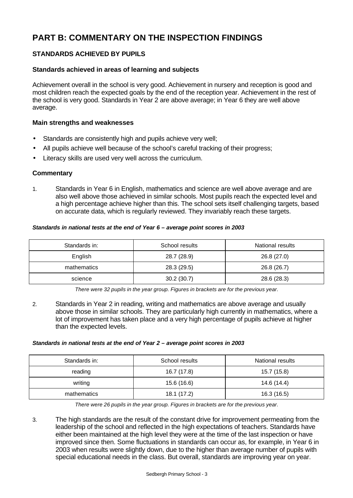# **PART B: COMMENTARY ON THE INSPECTION FINDINGS**

# **STANDARDS ACHIEVED BY PUPILS**

# **Standards achieved in areas of learning and subjects**

Achievement overall in the school is very good. Achievement in nursery and reception is good and most children reach the expected goals by the end of the reception year. Achievement in the rest of the school is very good. Standards in Year 2 are above average; in Year 6 they are well above average.

### **Main strengths and weaknesses**

- Standards are consistently high and pupils achieve very well;
- All pupils achieve well because of the school's careful tracking of their progress;
- Literacy skills are used very well across the curriculum.

#### **Commentary**

1. Standards in Year 6 in English, mathematics and science are well above average and are also well above those achieved in similar schools. Most pupils reach the expected level and a high percentage achieve higher than this. The school sets itself challenging targets, based on accurate data, which is regularly reviewed. They invariably reach these targets.

#### *Standards in national tests at the end of Year 6 – average point scores in 2003*

| Standards in: | School results | National results |
|---------------|----------------|------------------|
| English       | 28.7 (28.9)    | 26.8 (27.0)      |
| mathematics   | 28.3 (29.5)    | 26.8 (26.7)      |
| science       | 30.2(30.7)     | 28.6 (28.3)      |

*There were 32 pupils in the year group. Figures in brackets are for the previous year.*

2. Standards in Year 2 in reading, writing and mathematics are above average and usually above those in similar schools. They are particularly high currently in mathematics, where a lot of improvement has taken place and a very high percentage of pupils achieve at higher than the expected levels.

#### *Standards in national tests at the end of Year 2 – average point scores in 2003*

| Standards in: | School results | National results |  |
|---------------|----------------|------------------|--|
| reading       | 16.7 (17.8)    | 15.7 (15.8)      |  |
| writing       | 15.6 (16.6)    | 14.6 (14.4)      |  |
| mathematics   | 18.1 (17.2)    | 16.3 (16.5)      |  |

*There were 26 pupils in the year group. Figures in brackets are for the previous year.*

3. The high standards are the result of the constant drive for improvement permeating from the leadership of the school and reflected in the high expectations of teachers. Standards have either been maintained at the high level they were at the time of the last inspection or have improved since then. Some fluctuations in standards can occur as, for example, in Year 6 in 2003 when results were slightly down, due to the higher than average number of pupils with special educational needs in the class. But overall, standards are improving year on year.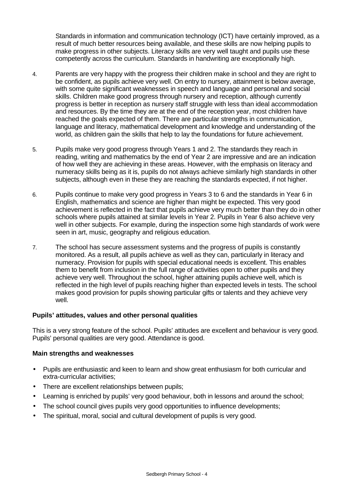Standards in information and communication technology (ICT) have certainly improved, as a result of much better resources being available, and these skills are now helping pupils to make progress in other subjects. Literacy skills are very well taught and pupils use these competently across the curriculum. Standards in handwriting are exceptionally high.

- 4. Parents are very happy with the progress their children make in school and they are right to be confident, as pupils achieve very well. On entry to nursery, attainment is below average, with some quite significant weaknesses in speech and language and personal and social skills. Children make good progress through nursery and reception, although currently progress is better in reception as nursery staff struggle with less than ideal accommodation and resources. By the time they are at the end of the reception year, most children have reached the goals expected of them. There are particular strengths in communication, language and literacy, mathematical development and knowledge and understanding of the world, as children gain the skills that help to lay the foundations for future achievement.
- 5. Pupils make very good progress through Years 1 and 2. The standards they reach in reading, writing and mathematics by the end of Year 2 are impressive and are an indication of how well they are achieving in these areas. However, with the emphasis on literacy and numeracy skills being as it is, pupils do not always achieve similarly high standards in other subjects, although even in these they are reaching the standards expected, if not higher.
- 6. Pupils continue to make very good progress in Years 3 to 6 and the standards in Year 6 in English, mathematics and science are higher than might be expected. This very good achievement is reflected in the fact that pupils achieve very much better than they do in other schools where pupils attained at similar levels in Year 2. Pupils in Year 6 also achieve very well in other subjects. For example, during the inspection some high standards of work were seen in art, music, geography and religious education.
- 7. The school has secure assessment systems and the progress of pupils is constantly monitored. As a result, all pupils achieve as well as they can, particularly in literacy and numeracy. Provision for pupils with special educational needs is excellent. This enables them to benefit from inclusion in the full range of activities open to other pupils and they achieve very well. Throughout the school, higher attaining pupils achieve well, which is reflected in the high level of pupils reaching higher than expected levels in tests. The school makes good provision for pupils showing particular gifts or talents and they achieve very well.

# **Pupils' attitudes, values and other personal qualities**

This is a very strong feature of the school. Pupils' attitudes are excellent and behaviour is very good. Pupils' personal qualities are very good. Attendance is good.

- Pupils are enthusiastic and keen to learn and show great enthusiasm for both curricular and extra-curricular activities;
- There are excellent relationships between pupils;
- Learning is enriched by pupils' very good behaviour, both in lessons and around the school;
- The school council gives pupils very good opportunities to influence developments;
- The spiritual, moral, social and cultural development of pupils is very good.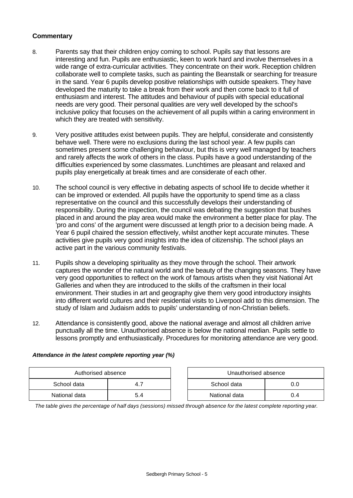- 8. Parents say that their children enjoy coming to school. Pupils say that lessons are interesting and fun. Pupils are enthusiastic, keen to work hard and involve themselves in a wide range of extra-curricular activities. They concentrate on their work. Reception children collaborate well to complete tasks, such as painting the Beanstalk or searching for treasure in the sand. Year 6 pupils develop positive relationships with outside speakers. They have developed the maturity to take a break from their work and then come back to it full of enthusiasm and interest. The attitudes and behaviour of pupils with special educational needs are very good. Their personal qualities are very well developed by the school's inclusive policy that focuses on the achievement of all pupils within a caring environment in which they are treated with sensitivity.
- 9. Very positive attitudes exist between pupils. They are helpful, considerate and consistently behave well. There were no exclusions during the last school year. A few pupils can sometimes present some challenging behaviour, but this is very well managed by teachers and rarely affects the work of others in the class. Pupils have a good understanding of the difficulties experienced by some classmates. Lunchtimes are pleasant and relaxed and pupils play energetically at break times and are considerate of each other.
- 10. The school council is very effective in debating aspects of school life to decide whether it can be improved or extended. All pupils have the opportunity to spend time as a class representative on the council and this successfully develops their understanding of responsibility. During the inspection, the council was debating the suggestion that bushes placed in and around the play area would make the environment a better place for play. The 'pro and cons' of the argument were discussed at length prior to a decision being made. A Year 6 pupil chaired the session effectively, whilst another kept accurate minutes. These activities give pupils very good insights into the idea of citizenship. The school plays an active part in the various community festivals.
- 11. Pupils show a developing spirituality as they move through the school. Their artwork captures the wonder of the natural world and the beauty of the changing seasons. They have very good opportunities to reflect on the work of famous artists when they visit National Art Galleries and when they are introduced to the skills of the craftsmen in their local environment. Their studies in art and geography give them very good introductory insights into different world cultures and their residential visits to Liverpool add to this dimension. The study of Islam and Judaism adds to pupils' understanding of non-Christian beliefs.
- 12. Attendance is consistently good, above the national average and almost all children arrive punctually all the time. Unauthorised absence is below the national median. Pupils settle to lessons promptly and enthusiastically. Procedures for monitoring attendance are very good.

| Authorised absence |      |  | Unauthorised absence |     |  |
|--------------------|------|--|----------------------|-----|--|
| School data        | 4. . |  | School data          |     |  |
| National data      | 5.4  |  | National data        | 0.4 |  |

| Attendance in the latest complete reporting year (%) |  |  |  |  |  |
|------------------------------------------------------|--|--|--|--|--|
|                                                      |  |  |  |  |  |

| Unauthorised absence |     |  |  |  |
|----------------------|-----|--|--|--|
| School data<br>ი ი   |     |  |  |  |
| National data        | በ 4 |  |  |  |

*The table gives the percentage of half days (sessions) missed through absence for the latest complete reporting year.*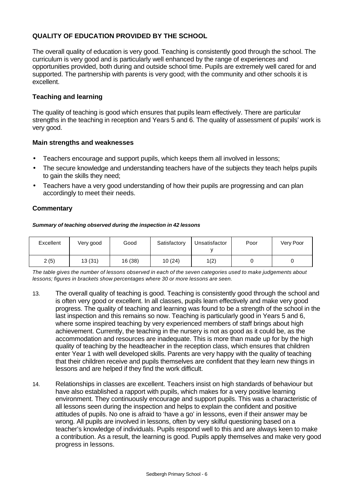# **QUALITY OF EDUCATION PROVIDED BY THE SCHOOL**

The overall quality of education is very good. Teaching is consistently good through the school. The curriculum is very good and is particularly well enhanced by the range of experiences and opportunities provided, both during and outside school time. Pupils are extremely well cared for and supported. The partnership with parents is very good; with the community and other schools it is excellent.

### **Teaching and learning**

The quality of teaching is good which ensures that pupils learn effectively. There are particular strengths in the teaching in reception and Years 5 and 6. The quality of assessment of pupils' work is very good.

#### **Main strengths and weaknesses**

- Teachers encourage and support pupils, which keeps them all involved in lessons;
- The secure knowledge and understanding teachers have of the subjects they teach helps pupils to gain the skills they need;
- Teachers have a very good understanding of how their pupils are progressing and can plan accordingly to meet their needs.

#### **Commentary**

#### *Summary of teaching observed during the inspection in 42 lessons*

| Excellent | Very good | Good    | Satisfactory | Unsatisfactor | Poor | Very Poor |
|-----------|-----------|---------|--------------|---------------|------|-----------|
| 2(5)      | 13(31)    | 16 (38) | 10(24)       | 1(2)          |      |           |

*The table gives the number of lessons observed in each of the seven categories used to make judgements about lessons; figures in brackets show percentages where 30 or more lessons are seen.*

- 13. The overall quality of teaching is good. Teaching is consistently good through the school and is often very good or excellent. In all classes, pupils learn effectively and make very good progress. The quality of teaching and learning was found to be a strength of the school in the last inspection and this remains so now. Teaching is particularly good in Years 5 and 6, where some inspired teaching by very experienced members of staff brings about high achievement. Currently, the teaching in the nursery is not as good as it could be, as the accommodation and resources are inadequate. This is more than made up for by the high quality of teaching by the headteacher in the reception class, which ensures that children enter Year 1 with well developed skills. Parents are very happy with the quality of teaching that their children receive and pupils themselves are confident that they learn new things in lessons and are helped if they find the work difficult.
- 14. Relationships in classes are excellent. Teachers insist on high standards of behaviour but have also established a rapport with pupils, which makes for a very positive learning environment. They continuously encourage and support pupils. This was a characteristic of all lessons seen during the inspection and helps to explain the confident and positive attitudes of pupils. No one is afraid to 'have a go' in lessons, even if their answer may be wrong. All pupils are involved in lessons, often by very skilful questioning based on a teacher's knowledge of individuals. Pupils respond well to this and are always keen to make a contribution. As a result, the learning is good. Pupils apply themselves and make very good progress in lessons.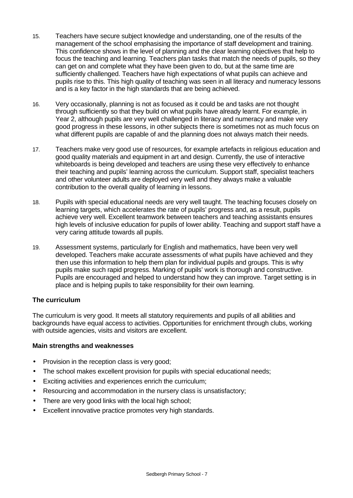- 15. Teachers have secure subject knowledge and understanding, one of the results of the management of the school emphasising the importance of staff development and training. This confidence shows in the level of planning and the clear learning objectives that help to focus the teaching and learning. Teachers plan tasks that match the needs of pupils, so they can get on and complete what they have been given to do, but at the same time are sufficiently challenged. Teachers have high expectations of what pupils can achieve and pupils rise to this. This high quality of teaching was seen in all literacy and numeracy lessons and is a key factor in the high standards that are being achieved.
- 16. Very occasionally, planning is not as focused as it could be and tasks are not thought through sufficiently so that they build on what pupils have already learnt. For example, in Year 2, although pupils are very well challenged in literacy and numeracy and make very good progress in these lessons, in other subjects there is sometimes not as much focus on what different pupils are capable of and the planning does not always match their needs.
- 17. Teachers make very good use of resources, for example artefacts in religious education and good quality materials and equipment in art and design. Currently, the use of interactive whiteboards is being developed and teachers are using these very effectively to enhance their teaching and pupils' learning across the curriculum. Support staff, specialist teachers and other volunteer adults are deployed very well and they always make a valuable contribution to the overall quality of learning in lessons.
- 18. Pupils with special educational needs are very well taught. The teaching focuses closely on learning targets, which accelerates the rate of pupils' progress and, as a result, pupils achieve very well. Excellent teamwork between teachers and teaching assistants ensures high levels of inclusive education for pupils of lower ability. Teaching and support staff have a very caring attitude towards all pupils.
- 19. Assessment systems, particularly for English and mathematics, have been very well developed. Teachers make accurate assessments of what pupils have achieved and they then use this information to help them plan for individual pupils and groups. This is why pupils make such rapid progress. Marking of pupils' work is thorough and constructive. Pupils are encouraged and helped to understand how they can improve. Target setting is in place and is helping pupils to take responsibility for their own learning.

# **The curriculum**

The curriculum is very good. It meets all statutory requirements and pupils of all abilities and backgrounds have equal access to activities. Opportunities for enrichment through clubs, working with outside agencies, visits and visitors are excellent.

- Provision in the reception class is very good;
- The school makes excellent provision for pupils with special educational needs;
- Exciting activities and experiences enrich the curriculum;
- Resourcing and accommodation in the nursery class is unsatisfactory;
- There are very good links with the local high school;
- Excellent innovative practice promotes very high standards.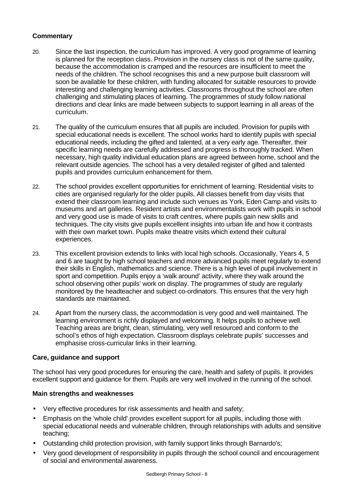- 20. Since the last inspection, the curriculum has improved. A very good programme of learning is planned for the reception class. Provision in the nursery class is not of the same quality, because the accommodation is cramped and the resources are insufficient to meet the needs of the children. The school recognises this and a new purpose built classroom will soon be available for these children, with funding allocated for suitable resources to provide interesting and challenging learning activities. Classrooms throughout the school are often challenging and stimulating places of learning. The programmes of study follow national directions and clear links are made between subjects to support learning in all areas of the curriculum.
- 21. The quality of the curriculum ensures that all pupils are included. Provision for pupils with special educational needs is excellent. The school works hard to identify pupils with special educational needs, including the gifted and talented, at a very early age. Thereafter, their specific learning needs are carefully addressed and progress is thoroughly tracked. When necessary, high quality individual education plans are agreed between home, school and the relevant outside agencies. The school has a very detailed register of gifted and talented pupils and provides curriculum enhancement for them.
- 22. The school provides excellent opportunities for enrichment of learning. Residential visits to cities are organised regularly for the older pupils. All classes benefit from day visits that extend their classroom learning and include such venues as York, Eden Camp and visits to museums and art galleries. Resident artists and environmentalists work with pupils in school and very good use is made of visits to craft centres, where pupils gain new skills and techniques. The city visits give pupils excellent insights into urban life and how it contrasts with their own market town. Pupils make theatre visits which extend their cultural experiences.
- 23. This excellent provision extends to links with local high schools. Occasionally, Years 4, 5 and 6 are taught by high school teachers and more advanced pupils meet regularly to extend their skills in English, mathematics and science. There is a high level of pupil involvement in sport and competition. Pupils enjoy a 'walk around' activity, where they walk around the school observing other pupils' work on display. The programmes of study are regularly monitored by the headteacher and subject co-ordinators. This ensures that the very high standards are maintained.
- 24. Apart from the nursery class, the accommodation is very good and well maintained. The learning environment is richly displayed and welcoming. It helps pupils to achieve well. Teaching areas are bright, clean, stimulating, very well resourced and conform to the school's ethos of high expectation. Classroom displays celebrate pupils' successes and emphasise cross-curricular links in their learning.

# **Care, guidance and support**

The school has very good procedures for ensuring the care, health and safety of pupils. It provides excellent support and guidance for them. Pupils are very well involved in the running of the school.

- Very effective procedures for risk assessments and health and safety;
- Emphasis on the 'whole child' provides excellent support for all pupils, including those with special educational needs and vulnerable children, through relationships with adults and sensitive teaching;
- Outstanding child protection provision, with family support links through Barnardo's;
- Very good development of responsibility in pupils through the school council and encouragement of social and environmental awareness.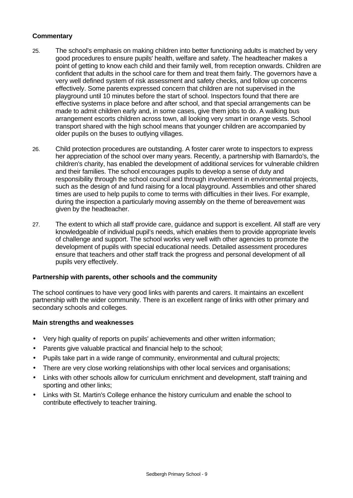- 25. The school's emphasis on making children into better functioning adults is matched by very good procedures to ensure pupils' health, welfare and safety. The headteacher makes a point of getting to know each child and their family well, from reception onwards. Children are confident that adults in the school care for them and treat them fairly. The governors have a very well defined system of risk assessment and safety checks, and follow up concerns effectively. Some parents expressed concern that children are not supervised in the playground until 10 minutes before the start of school. Inspectors found that there are effective systems in place before and after school, and that special arrangements can be made to admit children early and, in some cases, give them jobs to do. A walking bus arrangement escorts children across town, all looking very smart in orange vests. School transport shared with the high school means that younger children are accompanied by older pupils on the buses to outlying villages.
- 26. Child protection procedures are outstanding. A foster carer wrote to inspectors to express her appreciation of the school over many years. Recently, a partnership with Barnardo's, the children's charity, has enabled the development of additional services for vulnerable children and their families. The school encourages pupils to develop a sense of duty and responsibility through the school council and through involvement in environmental projects, such as the design of and fund raising for a local playground. Assemblies and other shared times are used to help pupils to come to terms with difficulties in their lives. For example, during the inspection a particularly moving assembly on the theme of bereavement was given by the headteacher.
- 27. The extent to which all staff provide care, guidance and support is excellent. All staff are very knowledgeable of individual pupil's needs, which enables them to provide appropriate levels of challenge and support. The school works very well with other agencies to promote the development of pupils with special educational needs. Detailed assessment procedures ensure that teachers and other staff track the progress and personal development of all pupils very effectively.

# **Partnership with parents, other schools and the community**

The school continues to have very good links with parents and carers. It maintains an excellent partnership with the wider community. There is an excellent range of links with other primary and secondary schools and colleges.

- Very high quality of reports on pupils' achievements and other written information;
- Parents give valuable practical and financial help to the school;
- Pupils take part in a wide range of community, environmental and cultural projects;
- There are very close working relationships with other local services and organisations;
- Links with other schools allow for curriculum enrichment and development, staff training and sporting and other links;
- Links with St. Martin's College enhance the history curriculum and enable the school to contribute effectively to teacher training.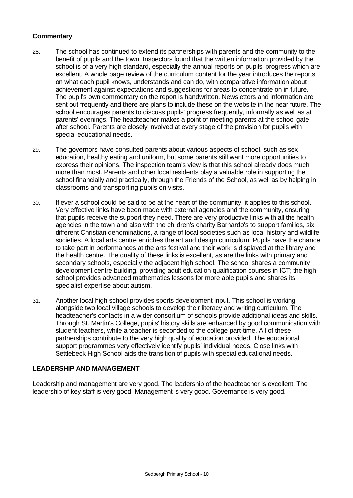- 28. The school has continued to extend its partnerships with parents and the community to the benefit of pupils and the town. Inspectors found that the written information provided by the school is of a very high standard, especially the annual reports on pupils' progress which are excellent. A whole page review of the curriculum content for the year introduces the reports on what each pupil knows, understands and can do, with comparative information about achievement against expectations and suggestions for areas to concentrate on in future. The pupil's own commentary on the report is handwritten. Newsletters and information are sent out frequently and there are plans to include these on the website in the near future. The school encourages parents to discuss pupils' progress frequently, informally as well as at parents' evenings. The headteacher makes a point of meeting parents at the school gate after school. Parents are closely involved at every stage of the provision for pupils with special educational needs.
- 29. The governors have consulted parents about various aspects of school, such as sex education, healthy eating and uniform, but some parents still want more opportunities to express their opinions. The inspection team's view is that this school already does much more than most. Parents and other local residents play a valuable role in supporting the school financially and practically, through the Friends of the School, as well as by helping in classrooms and transporting pupils on visits.
- 30. If ever a school could be said to be at the heart of the community, it applies to this school. Very effective links have been made with external agencies and the community, ensuring that pupils receive the support they need. There are very productive links with all the health agencies in the town and also with the children's charity Barnardo's to support families, six different Christian denominations, a range of local societies such as local history and wildlife societies. A local arts centre enriches the art and design curriculum. Pupils have the chance to take part in performances at the arts festival and their work is displayed at the library and the health centre. The quality of these links is excellent, as are the links with primary and secondary schools, especially the adjacent high school. The school shares a community development centre building, providing adult education qualification courses in ICT; the high school provides advanced mathematics lessons for more able pupils and shares its specialist expertise about autism.
- 31. Another local high school provides sports development input. This school is working alongside two local village schools to develop their literacy and writing curriculum. The headteacher's contacts in a wider consortium of schools provide additional ideas and skills. Through St. Martin's College, pupils' history skills are enhanced by good communication with student teachers, while a teacher is seconded to the college part-time. All of these partnerships contribute to the very high quality of education provided. The educational support programmes very effectively identify pupils' individual needs. Close links with Settlebeck High School aids the transition of pupils with special educational needs.

# **LEADERSHIP AND MANAGEMENT**

Leadership and management are very good. The leadership of the headteacher is excellent. The leadership of key staff is very good. Management is very good. Governance is very good.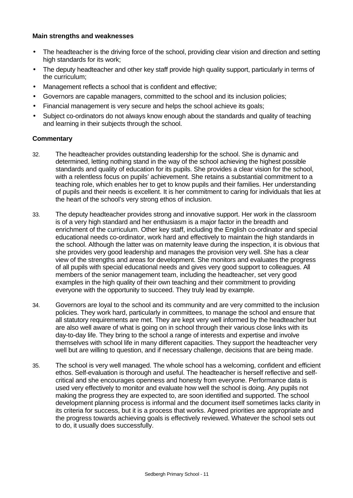#### **Main strengths and weaknesses**

- The headteacher is the driving force of the school, providing clear vision and direction and setting high standards for its work;
- The deputy headteacher and other key staff provide high quality support, particularly in terms of the curriculum;
- Management reflects a school that is confident and effective;
- Governors are capable managers, committed to the school and its inclusion policies;
- Financial management is very secure and helps the school achieve its goals;
- Subject co-ordinators do not always know enough about the standards and quality of teaching and learning in their subjects through the school.

- 32. The headteacher provides outstanding leadership for the school. She is dynamic and determined, letting nothing stand in the way of the school achieving the highest possible standards and quality of education for its pupils. She provides a clear vision for the school, with a relentless focus on pupils' achievement. She retains a substantial commitment to a teaching role, which enables her to get to know pupils and their families. Her understanding of pupils and their needs is excellent. It is her commitment to caring for individuals that lies at the heart of the school's very strong ethos of inclusion.
- 33. The deputy headteacher provides strong and innovative support. Her work in the classroom is of a very high standard and her enthusiasm is a major factor in the breadth and enrichment of the curriculum. Other key staff, including the English co-ordinator and special educational needs co-ordinator, work hard and effectively to maintain the high standards in the school. Although the latter was on maternity leave during the inspection, it is obvious that she provides very good leadership and manages the provision very well. She has a clear view of the strengths and areas for development. She monitors and evaluates the progress of all pupils with special educational needs and gives very good support to colleagues. All members of the senior management team, including the headteacher, set very good examples in the high quality of their own teaching and their commitment to providing everyone with the opportunity to succeed. They truly lead by example.
- 34. Governors are loyal to the school and its community and are very committed to the inclusion policies. They work hard, particularly in committees, to manage the school and ensure that all statutory requirements are met. They are kept very well informed by the headteacher but are also well aware of what is going on in school through their various close links with its day-to-day life. They bring to the school a range of interests and expertise and involve themselves with school life in many different capacities. They support the headteacher very well but are willing to question, and if necessary challenge, decisions that are being made.
- 35. The school is very well managed. The whole school has a welcoming, confident and efficient ethos. Self-evaluation is thorough and useful. The headteacher is herself reflective and selfcritical and she encourages openness and honesty from everyone. Performance data is used very effectively to monitor and evaluate how well the school is doing. Any pupils not making the progress they are expected to, are soon identified and supported. The school development planning process is informal and the document itself sometimes lacks clarity in its criteria for success, but it is a process that works. Agreed priorities are appropriate and the progress towards achieving goals is effectively reviewed. Whatever the school sets out to do, it usually does successfully.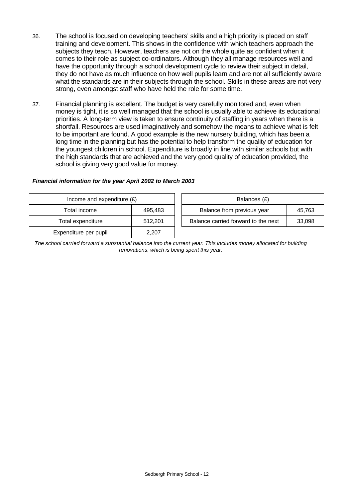- 36. The school is focused on developing teachers' skills and a high priority is placed on staff training and development. This shows in the confidence with which teachers approach the subjects they teach. However, teachers are not on the whole quite as confident when it comes to their role as subject co-ordinators. Although they all manage resources well and have the opportunity through a school development cycle to review their subject in detail, they do not have as much influence on how well pupils learn and are not all sufficiently aware what the standards are in their subjects through the school. Skills in these areas are not very strong, even amongst staff who have held the role for some time.
- 37. Financial planning is excellent. The budget is very carefully monitored and, even when money is tight, it is so well managed that the school is usually able to achieve its educational priorities. A long-term view is taken to ensure continuity of staffing in years when there is a shortfall. Resources are used imaginatively and somehow the means to achieve what is felt to be important are found. A good example is the new nursery building, which has been a long time in the planning but has the potential to help transform the quality of education for the youngest children in school. Expenditure is broadly in line with similar schools but with the high standards that are achieved and the very good quality of education provided, the school is giving very good value for money.

| Income and expenditure $(E)$ |         | Balances (£)                        |        |
|------------------------------|---------|-------------------------------------|--------|
| Total income                 | 495,483 | Balance from previous year          | 45,763 |
| Total expenditure            | 512,201 | Balance carried forward to the next | 33,098 |
| Expenditure per pupil        | 2,207   |                                     |        |

#### *Financial information for the year April 2002 to March 2003*

*The school carried forward a substantial balance into the current year. This includes money allocated for building renovations, which is being spent this year.*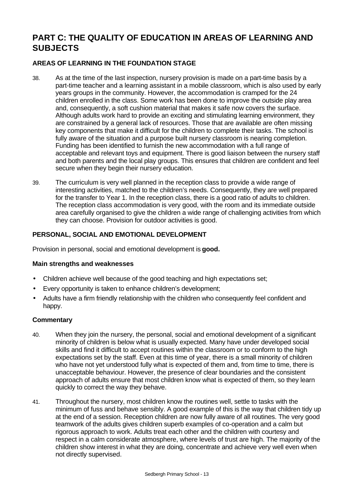# **PART C: THE QUALITY OF EDUCATION IN AREAS OF LEARNING AND SUBJECTS**

# **AREAS OF LEARNING IN THE FOUNDATION STAGE**

- 38. As at the time of the last inspection, nursery provision is made on a part-time basis by a part-time teacher and a learning assistant in a mobile classroom, which is also used by early years groups in the community. However, the accommodation is cramped for the 24 children enrolled in the class. Some work has been done to improve the outside play area and, consequently, a soft cushion material that makes it safe now covers the surface. Although adults work hard to provide an exciting and stimulating learning environment, they are constrained by a general lack of resources. Those that are available are often missing key components that make it difficult for the children to complete their tasks. The school is fully aware of the situation and a purpose built nursery classroom is nearing completion. Funding has been identified to furnish the new accommodation with a full range of acceptable and relevant toys and equipment. There is good liaison between the nursery staff and both parents and the local play groups. This ensures that children are confident and feel secure when they begin their nursery education.
- 39. The curriculum is very well planned in the reception class to provide a wide range of interesting activities, matched to the children's needs. Consequently, they are well prepared for the transfer to Year 1. In the reception class, there is a good ratio of adults to children. The reception class accommodation is very good, with the room and its immediate outside area carefully organised to give the children a wide range of challenging activities from which they can choose. Provision for outdoor activities is good.

# **PERSONAL, SOCIAL AND EMOTIONAL DEVELOPMENT**

Provision in personal, social and emotional development is **good.**

#### **Main strengths and weaknesses**

- Children achieve well because of the good teaching and high expectations set;
- Every opportunity is taken to enhance children's development;
- Adults have a firm friendly relationship with the children who consequently feel confident and happy.

- 40. When they join the nursery, the personal, social and emotional development of a significant minority of children is below what is usually expected. Many have under developed social skills and find it difficult to accept routines within the classroom or to conform to the high expectations set by the staff. Even at this time of year, there is a small minority of children who have not yet understood fully what is expected of them and, from time to time, there is unacceptable behaviour. However, the presence of clear boundaries and the consistent approach of adults ensure that most children know what is expected of them, so they learn quickly to correct the way they behave.
- 41. Throughout the nursery, most children know the routines well, settle to tasks with the minimum of fuss and behave sensibly. A good example of this is the way that children tidy up at the end of a session. Reception children are now fully aware of all routines. The very good teamwork of the adults gives children superb examples of co-operation and a calm but rigorous approach to work. Adults treat each other and the children with courtesy and respect in a calm considerate atmosphere, where levels of trust are high. The majority of the children show interest in what they are doing, concentrate and achieve very well even when not directly supervised.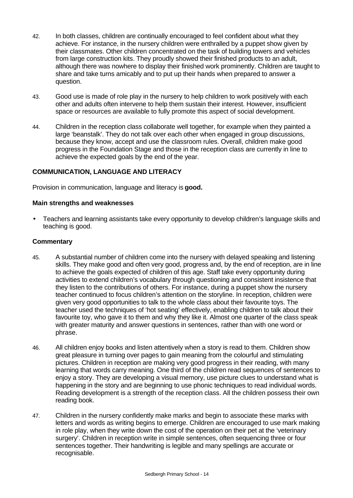- 42. In both classes, children are continually encouraged to feel confident about what they achieve. For instance, in the nursery children were enthralled by a puppet show given by their classmates. Other children concentrated on the task of building towers and vehicles from large construction kits. They proudly showed their finished products to an adult, although there was nowhere to display their finished work prominently. Children are taught to share and take turns amicably and to put up their hands when prepared to answer a question.
- 43. Good use is made of role play in the nursery to help children to work positively with each other and adults often intervene to help them sustain their interest. However, insufficient space or resources are available to fully promote this aspect of social development.
- 44. Children in the reception class collaborate well together, for example when they painted a large 'beanstalk'. They do not talk over each other when engaged in group discussions, because they know, accept and use the classroom rules. Overall, children make good progress in the Foundation Stage and those in the reception class are currently in line to achieve the expected goals by the end of the year.

# **COMMUNICATION, LANGUAGE AND LITERACY**

Provision in communication, language and literacy is **good.**

#### **Main strengths and weaknesses**

• Teachers and learning assistants take every opportunity to develop children's language skills and teaching is good.

- 45. A substantial number of children come into the nursery with delayed speaking and listening skills. They make good and often very good, progress and, by the end of reception, are in line to achieve the goals expected of children of this age. Staff take every opportunity during activities to extend children's vocabulary through questioning and consistent insistence that they listen to the contributions of others. For instance, during a puppet show the nursery teacher continued to focus children's attention on the storyline. In reception, children were given very good opportunities to talk to the whole class about their favourite toys. The teacher used the techniques of 'hot seating' effectively, enabling children to talk about their favourite toy, who gave it to them and why they like it. Almost one quarter of the class speak with greater maturity and answer questions in sentences, rather than with one word or phrase.
- 46. All children enjoy books and listen attentively when a story is read to them. Children show great pleasure in turning over pages to gain meaning from the colourful and stimulating pictures. Children in reception are making very good progress in their reading, with many learning that words carry meaning. One third of the children read sequences of sentences to enjoy a story. They are developing a visual memory, use picture clues to understand what is happening in the story and are beginning to use phonic techniques to read individual words. Reading development is a strength of the reception class. All the children possess their own reading book.
- 47. Children in the nursery confidently make marks and begin to associate these marks with letters and words as writing begins to emerge. Children are encouraged to use mark making in role play, when they write down the cost of the operation on their pet at the 'veterinary surgery'. Children in reception write in simple sentences, often sequencing three or four sentences together. Their handwriting is legible and many spellings are accurate or recognisable.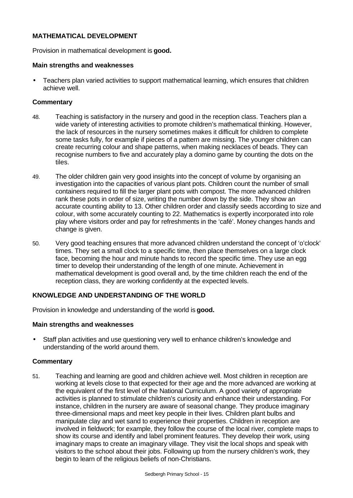# **MATHEMATICAL DEVELOPMENT**

Provision in mathematical development is **good.**

#### **Main strengths and weaknesses**

• Teachers plan varied activities to support mathematical learning, which ensures that children achieve well.

# **Commentary**

- 48. Teaching is satisfactory in the nursery and good in the reception class. Teachers plan a wide variety of interesting activities to promote children's mathematical thinking. However, the lack of resources in the nursery sometimes makes it difficult for children to complete some tasks fully, for example if pieces of a pattern are missing. The younger children can create recurring colour and shape patterns, when making necklaces of beads. They can recognise numbers to five and accurately play a domino game by counting the dots on the tiles.
- 49. The older children gain very good insights into the concept of volume by organising an investigation into the capacities of various plant pots. Children count the number of small containers required to fill the larger plant pots with compost. The more advanced children rank these pots in order of size, writing the number down by the side. They show an accurate counting ability to 13. Other children order and classify seeds according to size and colour, with some accurately counting to 22. Mathematics is expertly incorporated into role play where visitors order and pay for refreshments in the 'café'. Money changes hands and change is given.
- 50. Very good teaching ensures that more advanced children understand the concept of 'o'clock' times. They set a small clock to a specific time, then place themselves on a large clock face, becoming the hour and minute hands to record the specific time. They use an egg timer to develop their understanding of the length of one minute. Achievement in mathematical development is good overall and, by the time children reach the end of the reception class, they are working confidently at the expected levels.

# **KNOWLEDGE AND UNDERSTANDING OF THE WORLD**

Provision in knowledge and understanding of the world is **good.**

# **Main strengths and weaknesses**

• Staff plan activities and use questioning very well to enhance children's knowledge and understanding of the world around them.

# **Commentary**

51. Teaching and learning are good and children achieve well. Most children in reception are working at levels close to that expected for their age and the more advanced are working at the equivalent of the first level of the National Curriculum. A good variety of appropriate activities is planned to stimulate children's curiosity and enhance their understanding. For instance, children in the nursery are aware of seasonal change. They produce imaginary three-dimensional maps and meet key people in their lives. Children plant bulbs and manipulate clay and wet sand to experience their properties. Children in reception are involved in fieldwork; for example, they follow the course of the local river, complete maps to show its course and identify and label prominent features. They develop their work, using imaginary maps to create an imaginary village. They visit the local shops and speak with visitors to the school about their jobs. Following up from the nursery children's work, they begin to learn of the religious beliefs of non-Christians.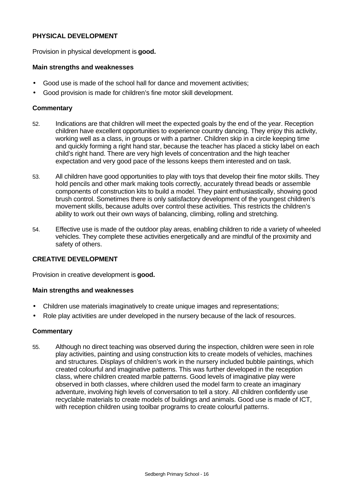# **PHYSICAL DEVELOPMENT**

Provision in physical development is **good.**

#### **Main strengths and weaknesses**

- Good use is made of the school hall for dance and movement activities;
- Good provision is made for children's fine motor skill development.

#### **Commentary**

- 52. Indications are that children will meet the expected goals by the end of the year. Reception children have excellent opportunities to experience country dancing. They enjoy this activity, working well as a class, in groups or with a partner. Children skip in a circle keeping time and quickly forming a right hand star, because the teacher has placed a sticky label on each child's right hand. There are very high levels of concentration and the high teacher expectation and very good pace of the lessons keeps them interested and on task.
- 53. All children have good opportunities to play with toys that develop their fine motor skills. They hold pencils and other mark making tools correctly, accurately thread beads or assemble components of construction kits to build a model. They paint enthusiastically, showing good brush control. Sometimes there is only satisfactory development of the youngest children's movement skills, because adults over control these activities. This restricts the children's ability to work out their own ways of balancing, climbing, rolling and stretching.
- 54. Effective use is made of the outdoor play areas, enabling children to ride a variety of wheeled vehicles. They complete these activities energetically and are mindful of the proximity and safety of others.

#### **CREATIVE DEVELOPMENT**

Provision in creative development is **good.**

#### **Main strengths and weaknesses**

- Children use materials imaginatively to create unique images and representations;
- Role play activities are under developed in the nursery because of the lack of resources.

#### **Commentary**

55. Although no direct teaching was observed during the inspection, children were seen in role play activities, painting and using construction kits to create models of vehicles, machines and structures. Displays of children's work in the nursery included bubble paintings, which created colourful and imaginative patterns. This was further developed in the reception class, where children created marble patterns. Good levels of imaginative play were observed in both classes, where children used the model farm to create an imaginary adventure, involving high levels of conversation to tell a story. All children confidently use recyclable materials to create models of buildings and animals. Good use is made of ICT, with reception children using toolbar programs to create colourful patterns.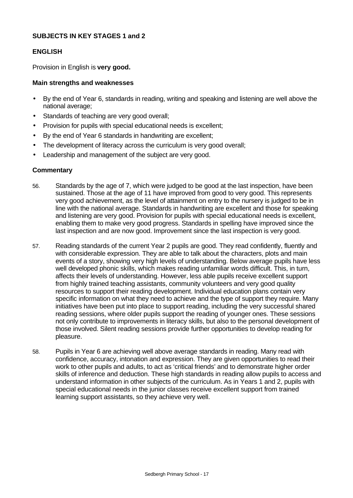# **SUBJECTS IN KEY STAGES 1 and 2**

#### **ENGLISH**

Provision in English is **very good.**

#### **Main strengths and weaknesses**

- By the end of Year 6, standards in reading, writing and speaking and listening are well above the national average;
- Standards of teaching are very good overall;
- Provision for pupils with special educational needs is excellent;
- By the end of Year 6 standards in handwriting are excellent;
- The development of literacy across the curriculum is very good overall;
- Leadership and management of the subject are very good.

- 56. Standards by the age of 7, which were judged to be good at the last inspection, have been sustained. Those at the age of 11 have improved from good to very good. This represents very good achievement, as the level of attainment on entry to the nursery is judged to be in line with the national average. Standards in handwriting are excellent and those for speaking and listening are very good. Provision for pupils with special educational needs is excellent, enabling them to make very good progress. Standards in spelling have improved since the last inspection and are now good. Improvement since the last inspection is very good.
- 57. Reading standards of the current Year 2 pupils are good. They read confidently, fluently and with considerable expression. They are able to talk about the characters, plots and main events of a story, showing very high levels of understanding. Below average pupils have less well developed phonic skills, which makes reading unfamiliar words difficult. This, in turn, affects their levels of understanding. However, less able pupils receive excellent support from highly trained teaching assistants, community volunteers and very good quality resources to support their reading development. Individual education plans contain very specific information on what they need to achieve and the type of support they require. Many initiatives have been put into place to support reading, including the very successful shared reading sessions, where older pupils support the reading of younger ones. These sessions not only contribute to improvements in literacy skills, but also to the personal development of those involved. Silent reading sessions provide further opportunities to develop reading for pleasure.
- 58. Pupils in Year 6 are achieving well above average standards in reading. Many read with confidence, accuracy, intonation and expression. They are given opportunities to read their work to other pupils and adults, to act as 'critical friends' and to demonstrate higher order skills of inference and deduction. These high standards in reading allow pupils to access and understand information in other subjects of the curriculum. As in Years 1 and 2, pupils with special educational needs in the junior classes receive excellent support from trained learning support assistants, so they achieve very well.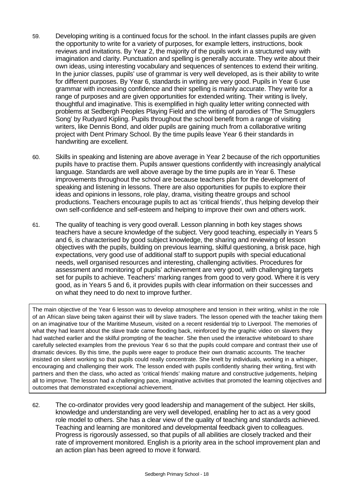- 59. Developing writing is a continued focus for the school. In the infant classes pupils are given the opportunity to write for a variety of purposes, for example letters, instructions, book reviews and invitations. By Year 2, the majority of the pupils work in a structured way with imagination and clarity. Punctuation and spelling is generally accurate. They write about their own ideas, using interesting vocabulary and sequences of sentences to extend their writing. In the junior classes, pupils' use of grammar is very well developed, as is their ability to write for different purposes. By Year 6, standards in writing are very good. Pupils in Year 6 use grammar with increasing confidence and their spelling is mainly accurate. They write for a range of purposes and are given opportunities for extended writing. Their writing is lively, thoughtful and imaginative. This is exemplified in high quality letter writing connected with problems at Sedbergh Peoples Playing Field and the writing of parodies of 'The Smugglers Song' by Rudyard Kipling. Pupils throughout the school benefit from a range of visiting writers, like Dennis Bond, and older pupils are gaining much from a collaborative writing project with Dent Primary School. By the time pupils leave Year 6 their standards in handwriting are excellent.
- 60. Skills in speaking and listening are above average in Year 2 because of the rich opportunities pupils have to practise them. Pupils answer questions confidently with increasingly analytical language. Standards are well above average by the time pupils are in Year 6. These improvements throughout the school are because teachers plan for the development of speaking and listening in lessons. There are also opportunities for pupils to explore their ideas and opinions in lessons, role play, drama, visiting theatre groups and school productions. Teachers encourage pupils to act as 'critical friends', thus helping develop their own self-confidence and self-esteem and helping to improve their own and others work.
- 61. The quality of teaching is very good overall. Lesson planning in both key stages shows teachers have a secure knowledge of the subject. Very good teaching, especially in Years 5 and 6, is characterised by good subject knowledge, the sharing and reviewing of lesson objectives with the pupils, building on previous learning, skilful questioning, a brisk pace, high expectations, very good use of additional staff to support pupils with special educational needs, well organised resources and interesting, challenging activities. Procedures for assessment and monitoring of pupils' achievement are very good, with challenging targets set for pupils to achieve. Teachers' marking ranges from good to very good. Where it is very good, as in Years 5 and 6, it provides pupils with clear information on their successes and on what they need to do next to improve further.

The main objective of the Year 6 lesson was to develop atmosphere and tension in their writing, whilst in the role of an African slave being taken against their will by slave traders. The lesson opened with the teacher taking them on an imaginative tour of the Maritime Museum, visited on a recent residential trip to Liverpool. The memories of what they had learnt about the slave trade came flooding back, reinforced by the graphic video on slavers they had watched earlier and the skilful prompting of the teacher. She then used the interactive whiteboard to share carefully selected examples from the previous Year 6 so that the pupils could compare and contrast their use of dramatic devices. By this time, the pupils were eager to produce their own dramatic accounts. The teacher insisted on silent working so that pupils could really concentrate. She knelt by individuals, working in a whisper, encouraging and challenging their work. The lesson ended with pupils confidently sharing their writing, first with partners and then the class, who acted as 'critical friends' making mature and constructive judgements, helping all to improve. The lesson had a challenging pace, imaginative activities that promoted the learning objectives and outcomes that demonstrated exceptional achievement.

62. The co-ordinator provides very good leadership and management of the subject. Her skills, knowledge and understanding are very well developed, enabling her to act as a very good role model to others. She has a clear view of the quality of teaching and standards achieved. Teaching and learning are monitored and developmental feedback given to colleagues. Progress is rigorously assessed, so that pupils of all abilities are closely tracked and their rate of improvement monitored. English is a priority area in the school improvement plan and an action plan has been agreed to move it forward.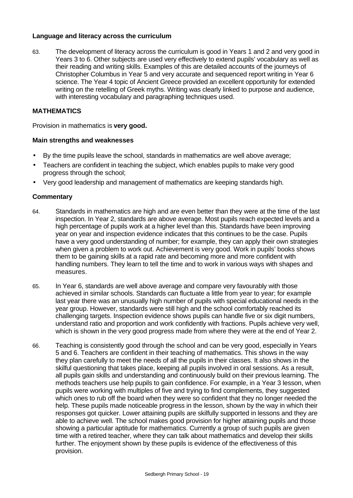# **Language and literacy across the curriculum**

63. The development of literacy across the curriculum is good in Years 1 and 2 and very good in Years 3 to 6. Other subjects are used very effectively to extend pupils' vocabulary as well as their reading and writing skills. Examples of this are detailed accounts of the journeys of Christopher Columbus in Year 5 and very accurate and sequenced report writing in Year 6 science. The Year 4 topic of Ancient Greece provided an excellent opportunity for extended writing on the retelling of Greek myths. Writing was clearly linked to purpose and audience, with interesting vocabulary and paragraphing techniques used.

# **MATHEMATICS**

Provision in mathematics is **very good.**

#### **Main strengths and weaknesses**

- By the time pupils leave the school, standards in mathematics are well above average;
- Teachers are confident in teaching the subject, which enables pupils to make very good progress through the school;
- Very good leadership and management of mathematics are keeping standards high.

- 64. Standards in mathematics are high and are even better than they were at the time of the last inspection. In Year 2, standards are above average. Most pupils reach expected levels and a high percentage of pupils work at a higher level than this. Standards have been improving year on year and inspection evidence indicates that this continues to be the case. Pupils have a very good understanding of number; for example, they can apply their own strategies when given a problem to work out. Achievement is very good. Work in pupils' books shows them to be gaining skills at a rapid rate and becoming more and more confident with handling numbers. They learn to tell the time and to work in various ways with shapes and measures.
- 65. In Year 6, standards are well above average and compare very favourably with those achieved in similar schools. Standards can fluctuate a little from year to year; for example last year there was an unusually high number of pupils with special educational needs in the year group. However, standards were still high and the school comfortably reached its challenging targets. Inspection evidence shows pupils can handle five or six digit numbers, understand ratio and proportion and work confidently with fractions. Pupils achieve very well, which is shown in the very good progress made from where they were at the end of Year 2.
- 66. Teaching is consistently good through the school and can be very good, especially in Years 5 and 6. Teachers are confident in their teaching of mathematics. This shows in the way they plan carefully to meet the needs of all the pupils in their classes. It also shows in the skilful questioning that takes place, keeping all pupils involved in oral sessions. As a result, all pupils gain skills and understanding and continuously build on their previous learning. The methods teachers use help pupils to gain confidence. For example, in a Year 3 lesson, when pupils were working with multiples of five and trying to find complements, they suggested which ones to rub off the board when they were so confident that they no longer needed the help. These pupils made noticeable progress in the lesson, shown by the way in which their responses got quicker. Lower attaining pupils are skilfully supported in lessons and they are able to achieve well. The school makes good provision for higher attaining pupils and those showing a particular aptitude for mathematics. Currently a group of such pupils are given time with a retired teacher, where they can talk about mathematics and develop their skills further. The enjoyment shown by these pupils is evidence of the effectiveness of this provision.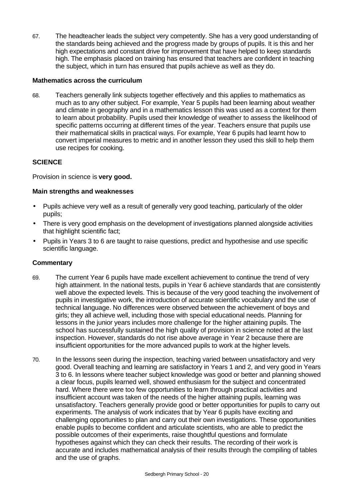67. The headteacher leads the subject very competently. She has a very good understanding of the standards being achieved and the progress made by groups of pupils. It is this and her high expectations and constant drive for improvement that have helped to keep standards high. The emphasis placed on training has ensured that teachers are confident in teaching the subject, which in turn has ensured that pupils achieve as well as they do.

# **Mathematics across the curriculum**

68. Teachers generally link subjects together effectively and this applies to mathematics as much as to any other subject. For example, Year 5 pupils had been learning about weather and climate in geography and in a mathematics lesson this was used as a context for them to learn about probability. Pupils used their knowledge of weather to assess the likelihood of specific patterns occurring at different times of the year. Teachers ensure that pupils use their mathematical skills in practical ways. For example, Year 6 pupils had learnt how to convert imperial measures to metric and in another lesson they used this skill to help them use recipes for cooking.

# **SCIENCE**

Provision in science is **very good.**

# **Main strengths and weaknesses**

- Pupils achieve very well as a result of generally very good teaching, particularly of the older pupils;
- There is very good emphasis on the development of investigations planned alongside activities that highlight scientific fact;
- Pupils in Years 3 to 6 are taught to raise questions, predict and hypothesise and use specific scientific language.

- 69. The current Year 6 pupils have made excellent achievement to continue the trend of very high attainment. In the national tests, pupils in Year 6 achieve standards that are consistently well above the expected levels. This is because of the very good teaching the involvement of pupils in investigative work, the introduction of accurate scientific vocabulary and the use of technical language. No differences were observed between the achievement of boys and girls; they all achieve well, including those with special educational needs. Planning for lessons in the junior years includes more challenge for the higher attaining pupils. The school has successfully sustained the high quality of provision in science noted at the last inspection. However, standards do not rise above average in Year 2 because there are insufficient opportunities for the more advanced pupils to work at the higher levels.
- 70. In the lessons seen during the inspection, teaching varied between unsatisfactory and very good. Overall teaching and learning are satisfactory in Years 1 and 2, and very good in Years 3 to 6. In lessons where teacher subject knowledge was good or better and planning showed a clear focus, pupils learned well, showed enthusiasm for the subject and concentrated hard. Where there were too few opportunities to learn through practical activities and insufficient account was taken of the needs of the higher attaining pupils, learning was unsatisfactory. Teachers generally provide good or better opportunities for pupils to carry out experiments. The analysis of work indicates that by Year 6 pupils have exciting and challenging opportunities to plan and carry out their own investigations. These opportunities enable pupils to become confident and articulate scientists, who are able to predict the possible outcomes of their experiments, raise thoughtful questions and formulate hypotheses against which they can check their results. The recording of their work is accurate and includes mathematical analysis of their results through the compiling of tables and the use of graphs.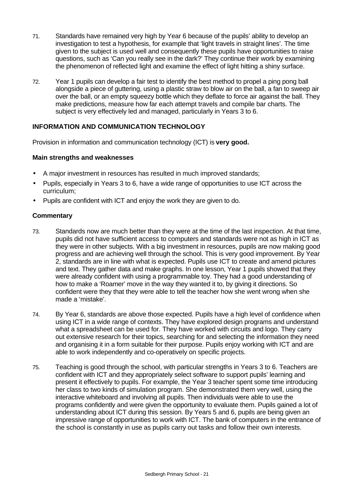- 71. Standards have remained very high by Year 6 because of the pupils' ability to develop an investigation to test a hypothesis, for example that 'light travels in straight lines'. The time given to the subject is used well and consequently these pupils have opportunities to raise questions, such as 'Can you really see in the dark?' They continue their work by examining the phenomenon of reflected light and examine the effect of light hitting a shiny surface.
- 72. Year 1 pupils can develop a fair test to identify the best method to propel a ping pong ball alongside a piece of guttering, using a plastic straw to blow air on the ball, a fan to sweep air over the ball, or an empty squeezy bottle which they deflate to force air against the ball. They make predictions, measure how far each attempt travels and compile bar charts. The subject is very effectively led and managed, particularly in Years 3 to 6.

# **INFORMATION AND COMMUNICATION TECHNOLOGY**

Provision in information and communication technology (ICT) is **very good.**

#### **Main strengths and weaknesses**

- A major investment in resources has resulted in much improved standards;
- Pupils, especially in Years 3 to 6, have a wide range of opportunities to use ICT across the curriculum;
- Pupils are confident with ICT and enjoy the work they are given to do.

- 73. Standards now are much better than they were at the time of the last inspection. At that time, pupils did not have sufficient access to computers and standards were not as high in ICT as they were in other subjects. With a big investment in resources, pupils are now making good progress and are achieving well through the school. This is very good improvement. By Year 2, standards are in line with what is expected. Pupils use ICT to create and amend pictures and text. They gather data and make graphs. In one lesson, Year 1 pupils showed that they were already confident with using a programmable toy. They had a good understanding of how to make a 'Roamer' move in the way they wanted it to, by giving it directions. So confident were they that they were able to tell the teacher how she went wrong when she made a 'mistake'.
- 74. By Year 6, standards are above those expected. Pupils have a high level of confidence when using ICT in a wide range of contexts. They have explored design programs and understand what a spreadsheet can be used for. They have worked with circuits and logo. They carry out extensive research for their topics, searching for and selecting the information they need and organising it in a form suitable for their purpose. Pupils enjoy working with ICT and are able to work independently and co-operatively on specific projects.
- 75. Teaching is good through the school, with particular strengths in Years 3 to 6. Teachers are confident with ICT and they appropriately select software to support pupils' learning and present it effectively to pupils. For example, the Year 3 teacher spent some time introducing her class to two kinds of simulation program. She demonstrated them very well, using the interactive whiteboard and involving all pupils. Then individuals were able to use the programs confidently and were given the opportunity to evaluate them. Pupils gained a lot of understanding about ICT during this session. By Years 5 and 6, pupils are being given an impressive range of opportunities to work with ICT. The bank of computers in the entrance of the school is constantly in use as pupils carry out tasks and follow their own interests.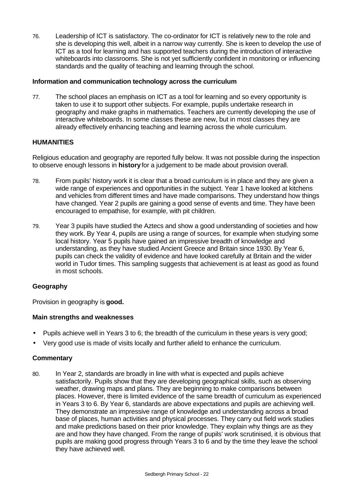76. Leadership of ICT is satisfactory. The co-ordinator for ICT is relatively new to the role and she is developing this well, albeit in a narrow way currently. She is keen to develop the use of ICT as a tool for learning and has supported teachers during the introduction of interactive whiteboards into classrooms. She is not yet sufficiently confident in monitoring or influencing standards and the quality of teaching and learning through the school.

# **Information and communication technology across the curriculum**

77. The school places an emphasis on ICT as a tool for learning and so every opportunity is taken to use it to support other subjects. For example, pupils undertake research in geography and make graphs in mathematics. Teachers are currently developing the use of interactive whiteboards. In some classes these are new, but in most classes they are already effectively enhancing teaching and learning across the whole curriculum.

# **HUMANITIES**

Religious education and geography are reported fully below. It was not possible during the inspection to observe enough lessons in **history** for a judgement to be made about provision overall.

- 78. From pupils' history work it is clear that a broad curriculum is in place and they are given a wide range of experiences and opportunities in the subject. Year 1 have looked at kitchens and vehicles from different times and have made comparisons. They understand how things have changed. Year 2 pupils are gaining a good sense of events and time. They have been encouraged to empathise, for example, with pit children.
- 79. Year 3 pupils have studied the Aztecs and show a good understanding of societies and how they work. By Year 4, pupils are using a range of sources, for example when studying some local history. Year 5 pupils have gained an impressive breadth of knowledge and understanding, as they have studied Ancient Greece and Britain since 1930. By Year 6, pupils can check the validity of evidence and have looked carefully at Britain and the wider world in Tudor times. This sampling suggests that achievement is at least as good as found in most schools.

# **Geography**

Provision in geography is **good.**

#### **Main strengths and weaknesses**

- Pupils achieve well in Years 3 to 6; the breadth of the curriculum in these years is very good;
- Very good use is made of visits locally and further afield to enhance the curriculum.

# **Commentary**

80. In Year 2, standards are broadly in line with what is expected and pupils achieve satisfactorily. Pupils show that they are developing geographical skills, such as observing weather, drawing maps and plans. They are beginning to make comparisons between places. However, there is limited evidence of the same breadth of curriculum as experienced in Years 3 to 6. By Year 6, standards are above expectations and pupils are achieving well. They demonstrate an impressive range of knowledge and understanding across a broad base of places, human activities and physical processes. They carry out field work studies and make predictions based on their prior knowledge. They explain why things are as they are and how they have changed. From the range of pupils' work scrutinised, it is obvious that pupils are making good progress through Years 3 to 6 and by the time they leave the school they have achieved well.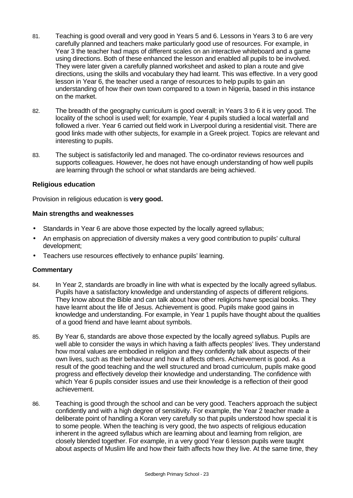- 81. Teaching is good overall and very good in Years 5 and 6. Lessons in Years 3 to 6 are very carefully planned and teachers make particularly good use of resources. For example, in Year 3 the teacher had maps of different scales on an interactive whiteboard and a game using directions. Both of these enhanced the lesson and enabled all pupils to be involved. They were later given a carefully planned worksheet and asked to plan a route and give directions, using the skills and vocabulary they had learnt. This was effective. In a very good lesson in Year 6, the teacher used a range of resources to help pupils to gain an understanding of how their own town compared to a town in Nigeria, based in this instance on the market.
- 82. The breadth of the geography curriculum is good overall; in Years 3 to 6 it is very good. The locality of the school is used well; for example, Year 4 pupils studied a local waterfall and followed a river. Year 6 carried out field work in Liverpool during a residential visit. There are good links made with other subjects, for example in a Greek project. Topics are relevant and interesting to pupils.
- 83. The subject is satisfactorily led and managed. The co-ordinator reviews resources and supports colleagues. However, he does not have enough understanding of how well pupils are learning through the school or what standards are being achieved.

# **Religious education**

Provision in religious education is **very good.**

# **Main strengths and weaknesses**

- Standards in Year 6 are above those expected by the locally agreed syllabus;
- An emphasis on appreciation of diversity makes a very good contribution to pupils' cultural development;
- Teachers use resources effectively to enhance pupils' learning.

- 84. In Year 2, standards are broadly in line with what is expected by the locally agreed syllabus. Pupils have a satisfactory knowledge and understanding of aspects of different religions. They know about the Bible and can talk about how other religions have special books. They have learnt about the life of Jesus. Achievement is good. Pupils make good gains in knowledge and understanding. For example, in Year 1 pupils have thought about the qualities of a good friend and have learnt about symbols.
- 85. By Year 6, standards are above those expected by the locally agreed syllabus. Pupils are well able to consider the ways in which having a faith affects peoples' lives. They understand how moral values are embodied in religion and they confidently talk about aspects of their own lives, such as their behaviour and how it affects others. Achievement is good. As a result of the good teaching and the well structured and broad curriculum, pupils make good progress and effectively develop their knowledge and understanding. The confidence with which Year 6 pupils consider issues and use their knowledge is a reflection of their good achievement.
- 86. Teaching is good through the school and can be very good. Teachers approach the subject confidently and with a high degree of sensitivity. For example, the Year 2 teacher made a deliberate point of handling a Koran very carefully so that pupils understood how special it is to some people. When the teaching is very good, the two aspects of religious education inherent in the agreed syllabus which are learning about and learning from religion, are closely blended together. For example, in a very good Year 6 lesson pupils were taught about aspects of Muslim life and how their faith affects how they live. At the same time, they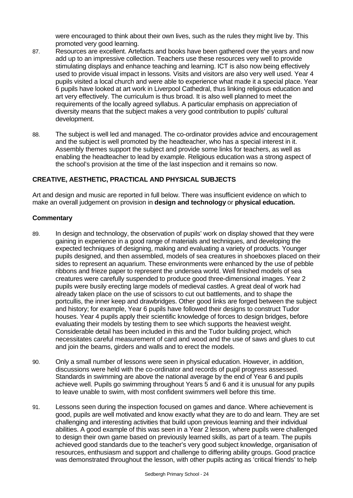were encouraged to think about their own lives, such as the rules they might live by. This promoted very good learning.

- 87. Resources are excellent. Artefacts and books have been gathered over the years and now add up to an impressive collection. Teachers use these resources very well to provide stimulating displays and enhance teaching and learning. ICT is also now being effectively used to provide visual impact in lessons. Visits and visitors are also very well used. Year 4 pupils visited a local church and were able to experience what made it a special place. Year 6 pupils have looked at art work in Liverpool Cathedral, thus linking religious education and art very effectively. The curriculum is thus broad. It is also well planned to meet the requirements of the locally agreed syllabus. A particular emphasis on appreciation of diversity means that the subject makes a very good contribution to pupils' cultural development.
- 88. The subject is well led and managed. The co-ordinator provides advice and encouragement and the subject is well promoted by the headteacher, who has a special interest in it. Assembly themes support the subject and provide some links for teachers, as well as enabling the headteacher to lead by example. Religious education was a strong aspect of the school's provision at the time of the last inspection and it remains so now.

# **CREATIVE, AESTHETIC, PRACTICAL AND PHYSICAL SUBJECTS**

Art and design and music are reported in full below. There was insufficient evidence on which to make an overall judgement on provision in **design and technology** or **physical education.**

- 89. In design and technology, the observation of pupils' work on display showed that they were gaining in experience in a good range of materials and techniques, and developing the expected techniques of designing, making and evaluating a variety of products. Younger pupils designed, and then assembled, models of sea creatures in shoeboxes placed on their sides to represent an aquarium. These environments were enhanced by the use of pebble ribbons and frieze paper to represent the undersea world. Well finished models of sea creatures were carefully suspended to produce good three-dimensional images. Year 2 pupils were busily erecting large models of medieval castles. A great deal of work had already taken place on the use of scissors to cut out battlements, and to shape the portcullis, the inner keep and drawbridges. Other good links are forged between the subject and history; for example, Year 6 pupils have followed their designs to construct Tudor houses. Year 4 pupils apply their scientific knowledge of forces to design bridges, before evaluating their models by testing them to see which supports the heaviest weight. Considerable detail has been included in this and the Tudor building project, which necessitates careful measurement of card and wood and the use of saws and glues to cut and join the beams, girders and walls and to erect the models.
- 90. Only a small number of lessons were seen in physical education. However, in addition, discussions were held with the co-ordinator and records of pupil progress assessed. Standards in swimming are above the national average by the end of Year 6 and pupils achieve well. Pupils go swimming throughout Years 5 and 6 and it is unusual for any pupils to leave unable to swim, with most confident swimmers well before this time.
- 91. Lessons seen during the inspection focused on games and dance. Where achievement is good, pupils are well motivated and know exactly what they are to do and learn. They are set challenging and interesting activities that build upon previous learning and their individual abilities. A good example of this was seen in a Year 2 lesson, where pupils were challenged to design their own game based on previously learned skills, as part of a team. The pupils achieved good standards due to the teacher's very good subject knowledge, organisation of resources, enthusiasm and support and challenge to differing ability groups. Good practice was demonstrated throughout the lesson, with other pupils acting as 'critical friends' to help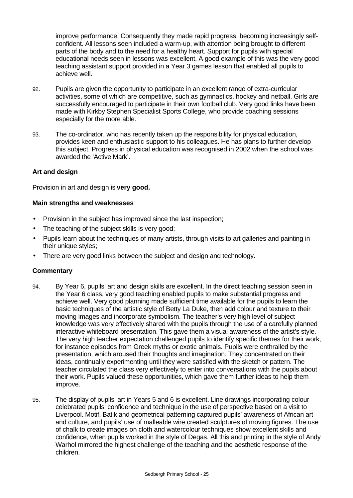improve performance. Consequently they made rapid progress, becoming increasingly selfconfident. All lessons seen included a warm-up, with attention being brought to different parts of the body and to the need for a healthy heart. Support for pupils with special educational needs seen in lessons was excellent. A good example of this was the very good teaching assistant support provided in a Year 3 games lesson that enabled all pupils to achieve well.

- 92. Pupils are given the opportunity to participate in an excellent range of extra-curricular activities, some of which are competitive, such as gymnastics, hockey and netball. Girls are successfully encouraged to participate in their own football club. Very good links have been made with Kirkby Stephen Specialist Sports College, who provide coaching sessions especially for the more able.
- 93. The co-ordinator, who has recently taken up the responsibility for physical education, provides keen and enthusiastic support to his colleagues. He has plans to further develop this subject. Progress in physical education was recognised in 2002 when the school was awarded the 'Active Mark'.

# **Art and design**

Provision in art and design is **very good.**

# **Main strengths and weaknesses**

- Provision in the subject has improved since the last inspection;
- The teaching of the subject skills is very good;
- Pupils learn about the techniques of many artists, through visits to art galleries and painting in their unique styles;
- There are very good links between the subject and design and technology.

- 94. By Year 6, pupils' art and design skills are excellent. In the direct teaching session seen in the Year 6 class, very good teaching enabled pupils to make substantial progress and achieve well. Very good planning made sufficient time available for the pupils to learn the basic techniques of the artistic style of Betty La Duke, then add colour and texture to their moving images and incorporate symbolism. The teacher's very high level of subject knowledge was very effectively shared with the pupils through the use of a carefully planned interactive whiteboard presentation. This gave them a visual awareness of the artist's style. The very high teacher expectation challenged pupils to identify specific themes for their work, for instance episodes from Greek myths or exotic animals. Pupils were enthralled by the presentation, which aroused their thoughts and imagination. They concentrated on their ideas, continually experimenting until they were satisfied with the sketch or pattern. The teacher circulated the class very effectively to enter into conversations with the pupils about their work. Pupils valued these opportunities, which gave them further ideas to help them improve.
- 95. The display of pupils' art in Years 5 and 6 is excellent. Line drawings incorporating colour celebrated pupils' confidence and technique in the use of perspective based on a visit to Liverpool. Motif, Batik and geometrical patterning captured pupils' awareness of African art and culture, and pupils' use of malleable wire created sculptures of moving figures. The use of chalk to create images on cloth and watercolour techniques show excellent skills and confidence, when pupils worked in the style of Degas. All this and printing in the style of Andy Warhol mirrored the highest challenge of the teaching and the aesthetic response of the children.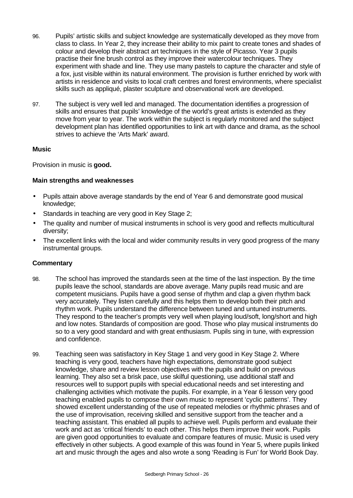- 96. Pupils' artistic skills and subject knowledge are systematically developed as they move from class to class. In Year 2, they increase their ability to mix paint to create tones and shades of colour and develop their abstract art techniques in the style of Picasso. Year 3 pupils practise their fine brush control as they improve their watercolour techniques. They experiment with shade and line. They use many pastels to capture the character and style of a fox, just visible within its natural environment. The provision is further enriched by work with artists in residence and visits to local craft centres and forest environments, where specialist skills such as appliqué, plaster sculpture and observational work are developed.
- 97. The subject is very well led and managed. The documentation identifies a progression of skills and ensures that pupils' knowledge of the world's great artists is extended as they move from year to year. The work within the subject is regularly monitored and the subject development plan has identified opportunities to link art with dance and drama, as the school strives to achieve the 'Arts Mark' award.

# **Music**

Provision in music is **good.**

# **Main strengths and weaknesses**

- Pupils attain above average standards by the end of Year 6 and demonstrate good musical knowledge;
- Standards in teaching are very good in Key Stage 2;
- The quality and number of musical instruments in school is very good and reflects multicultural diversity;
- The excellent links with the local and wider community results in very good progress of the many instrumental groups.

- 98. The school has improved the standards seen at the time of the last inspection. By the time pupils leave the school, standards are above average. Many pupils read music and are competent musicians. Pupils have a good sense of rhythm and clap a given rhythm back very accurately. They listen carefully and this helps them to develop both their pitch and rhythm work. Pupils understand the difference between tuned and untuned instruments. They respond to the teacher's prompts very well when playing loud/soft, long/short and high and low notes. Standards of composition are good. Those who play musical instruments do so to a very good standard and with great enthusiasm. Pupils sing in tune, with expression and confidence.
- 99. Teaching seen was satisfactory in Key Stage 1 and very good in Key Stage 2. Where teaching is very good, teachers have high expectations, demonstrate good subject knowledge, share and review lesson objectives with the pupils and build on previous learning. They also set a brisk pace, use skilful questioning, use additional staff and resources well to support pupils with special educational needs and set interesting and challenging activities which motivate the pupils. For example, in a Year 6 lesson very good teaching enabled pupils to compose their own music to represent 'cyclic patterns'. They showed excellent understanding of the use of repeated melodies or rhythmic phrases and of the use of improvisation, receiving skilled and sensitive support from the teacher and a teaching assistant. This enabled all pupils to achieve well. Pupils perform and evaluate their work and act as 'critical friends' to each other. This helps them improve their work. Pupils are given good opportunities to evaluate and compare features of music. Music is used very effectively in other subjects. A good example of this was found in Year 5, where pupils linked art and music through the ages and also wrote a song 'Reading is Fun' for World Book Day.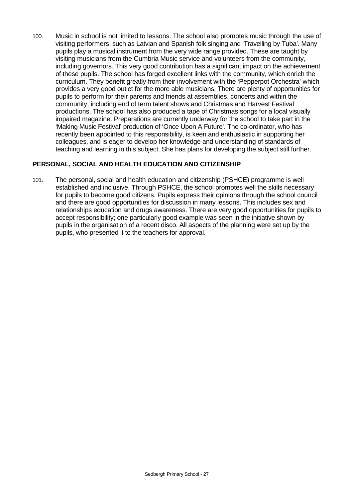100. Music in school is not limited to lessons. The school also promotes music through the use of visiting performers, such as Latvian and Spanish folk singing and 'Travelling by Tuba'. Many pupils play a musical instrument from the very wide range provided. These are taught by visiting musicians from the Cumbria Music service and volunteers from the community, including governors. This very good contribution has a significant impact on the achievement of these pupils. The school has forged excellent links with the community, which enrich the curriculum. They benefit greatly from their involvement with the 'Pepperpot Orchestra' which provides a very good outlet for the more able musicians. There are plenty of opportunities for pupils to perform for their parents and friends at assemblies, concerts and within the community, including end of term talent shows and Christmas and Harvest Festival productions. The school has also produced a tape of Christmas songs for a local visually impaired magazine. Preparations are currently underway for the school to take part in the 'Making Music Festival' production of 'Once Upon A Future'. The co-ordinator, who has recently been appointed to this responsibility, is keen and enthusiastic in supporting her colleagues, and is eager to develop her knowledge and understanding of standards of teaching and learning in this subject. She has plans for developing the subject still further.

# **PERSONAL, SOCIAL AND HEALTH EDUCATION AND CITIZENSHIP**

101. The personal, social and health education and citizenship (PSHCE) programme is well established and inclusive. Through PSHCE, the school promotes well the skills necessary for pupils to become good citizens. Pupils express their opinions through the school council and there are good opportunities for discussion in many lessons. This includes sex and relationships education and drugs awareness. There are very good opportunities for pupils to accept responsibility; one particularly good example was seen in the initiative shown by pupils in the organisation of a recent disco. All aspects of the planning were set up by the pupils, who presented it to the teachers for approval.